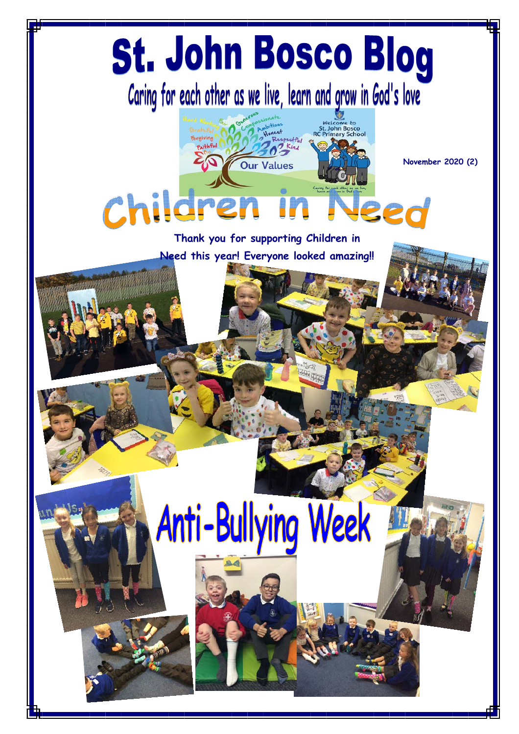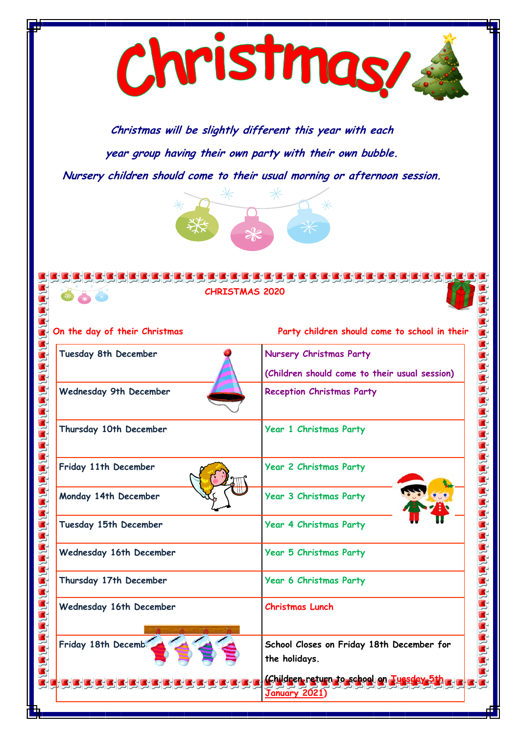